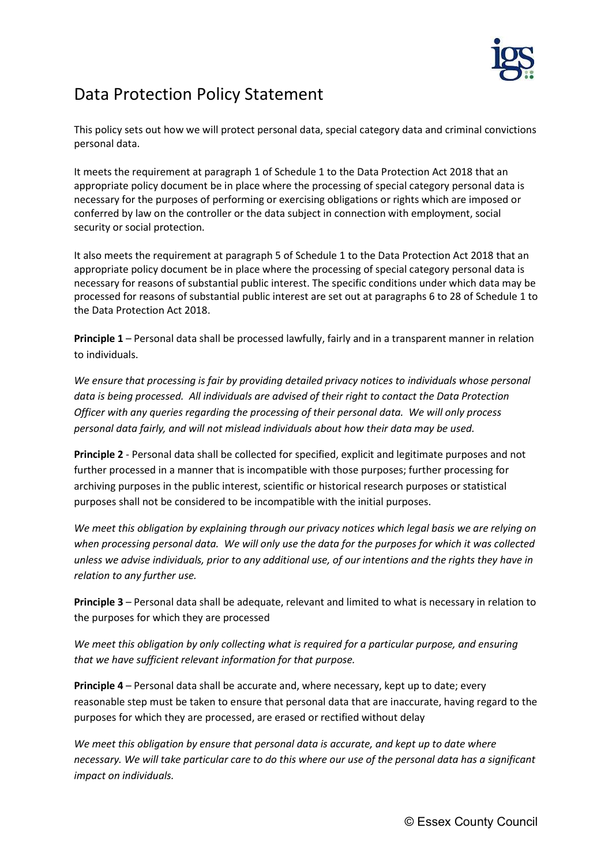

## Data Protection Policy Statement

This policy sets out how we will protect personal data, special category data and criminal convictions personal data.

It meets the requirement at paragraph 1 of Schedule 1 to the Data Protection Act 2018 that an appropriate policy document be in place where the processing of special category personal data is necessary for the purposes of performing or exercising obligations or rights which are imposed or conferred by law on the controller or the data subject in connection with employment, social security or social protection.

It also meets the requirement at paragraph 5 of Schedule 1 to the Data Protection Act 2018 that an appropriate policy document be in place where the processing of special category personal data is necessary for reasons of substantial public interest. The specific conditions under which data may be processed for reasons of substantial public interest are set out at paragraphs 6 to 28 of Schedule 1 to the Data Protection Act 2018.

Principle 1 – Personal data shall be processed lawfully, fairly and in a transparent manner in relation to individuals.

We ensure that processing is fair by providing detailed privacy notices to individuals whose personal data is being processed. All individuals are advised of their right to contact the Data Protection Officer with any queries regarding the processing of their personal data. We will only process personal data fairly, and will not mislead individuals about how their data may be used.

Principle 2 - Personal data shall be collected for specified, explicit and legitimate purposes and not further processed in a manner that is incompatible with those purposes; further processing for archiving purposes in the public interest, scientific or historical research purposes or statistical purposes shall not be considered to be incompatible with the initial purposes.

We meet this obligation by explaining through our privacy notices which legal basis we are relying on when processing personal data. We will only use the data for the purposes for which it was collected unless we advise individuals, prior to any additional use, of our intentions and the rights they have in relation to any further use.

Principle 3 – Personal data shall be adequate, relevant and limited to what is necessary in relation to the purposes for which they are processed

We meet this obligation by only collecting what is required for a particular purpose, and ensuring that we have sufficient relevant information for that purpose.

Principle 4 – Personal data shall be accurate and, where necessary, kept up to date; every reasonable step must be taken to ensure that personal data that are inaccurate, having regard to the purposes for which they are processed, are erased or rectified without delay

We meet this obligation by ensure that personal data is accurate, and kept up to date where necessary. We will take particular care to do this where our use of the personal data has a significant impact on individuals.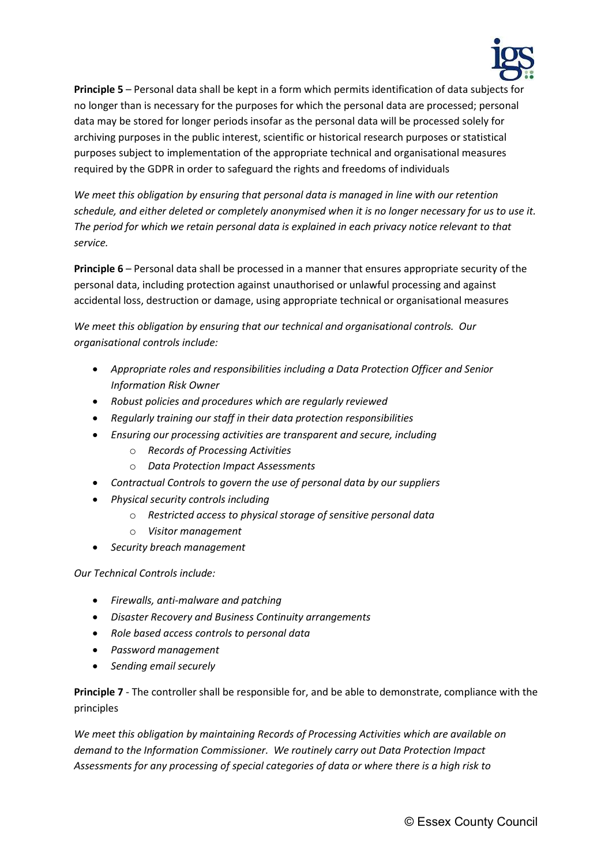

Principle 5 – Personal data shall be kept in a form which permits identification of data subjects for no longer than is necessary for the purposes for which the personal data are processed; personal data may be stored for longer periods insofar as the personal data will be processed solely for archiving purposes in the public interest, scientific or historical research purposes or statistical purposes subject to implementation of the appropriate technical and organisational measures required by the GDPR in order to safeguard the rights and freedoms of individuals

We meet this obligation by ensuring that personal data is managed in line with our retention schedule, and either deleted or completely anonymised when it is no longer necessary for us to use it. The period for which we retain personal data is explained in each privacy notice relevant to that service.

Principle 6 – Personal data shall be processed in a manner that ensures appropriate security of the personal data, including protection against unauthorised or unlawful processing and against accidental loss, destruction or damage, using appropriate technical or organisational measures

We meet this obligation by ensuring that our technical and organisational controls. Our organisational controls include:

- Appropriate roles and responsibilities including a Data Protection Officer and Senior Information Risk Owner
- Robust policies and procedures which are regularly reviewed
- Regularly training our staff in their data protection responsibilities
- Ensuring our processing activities are transparent and secure, including
	- o Records of Processing Activities
	- o Data Protection Impact Assessments
- Contractual Controls to govern the use of personal data by our suppliers
- Physical security controls including
	- o Restricted access to physical storage of sensitive personal data
	- o Visitor management
- Security breach management

Our Technical Controls include:

- Firewalls, anti-malware and patching
- Disaster Recovery and Business Continuity arrangements
- Role based access controls to personal data
- Password management
- Sending email securely

Principle 7 - The controller shall be responsible for, and be able to demonstrate, compliance with the principles

We meet this obligation by maintaining Records of Processing Activities which are available on demand to the Information Commissioner. We routinely carry out Data Protection Impact Assessments for any processing of special categories of data or where there is a high risk to